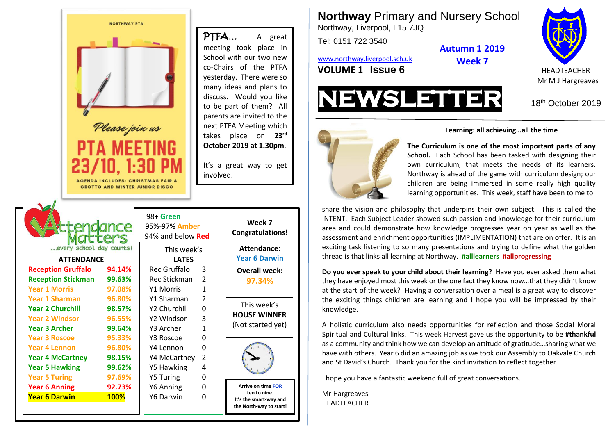

**Northway** Primary and Nursery School Northway, Liverpool, L15 7JQ

Tel: 0151 722 3540

**Autumn 1 2019**

[www.northway.liverpool.sch.uk](http://www.northway.liverpool.sch.uk/) **VOLUME 1 ISSUE 6** HEADTEACHER

**Week 7**

Mr M J Hargreaves



18<sup>th</sup> October 2019



## **Learning: all achieving…all the time**

own curriculum, that meets the needs of its learners. **The Curriculum is one of the most important parts of any School.** Each School has been tasked with designing their Northway is ahead of the game with curriculum design; our children are being immersed in some really high quality learning opportunities. This week, staff have been to me to

share the vision and philosophy that underpins their own subject. This is called the INTENT. Each Subject Leader showed such passion and knowledge for their curriculum area and could demonstrate how knowledge progresses year on year as well as the assessment and enrichment opportunities (IMPLIMENTATION) that are on offer. It is an exciting task listening to so many presentations and trying to define what the golden thread is that links all learning at Northway. **#alllearners #allprogressing**

**Do you ever speak to your child about their learning?** Have you ever asked them what they have enjoyed most this week or the one fact they know now…that they didn't know at the start of the week? Having a conversation over a meal is a great way to discover the exciting things children are learning and I hope you will be impressed by their knowledge.

A holistic curriculum also needs opportunities for reflection and those Social Moral Spiritual and Cultural links. This week Harvest gave us the opportunity to be **#thankful** as a community and think how we can develop an attitude of gratitude...sharing what we have with others. Year 6 did an amazing job as we took our Assembly to Oakvale Church and St David's Church. Thank you for the kind invitation to reflect together.

I hope you have a fantastic weekend full of great conversations.

Mr Hargreaves HEADTEACHER